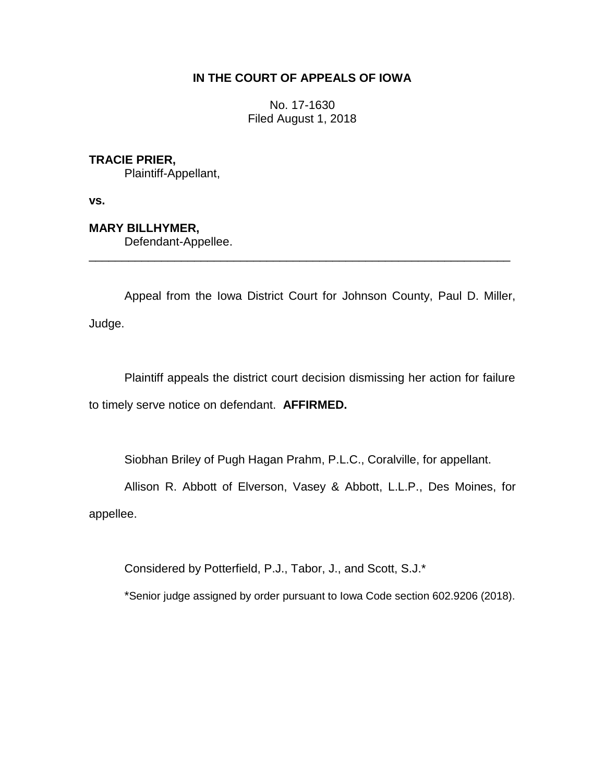## **IN THE COURT OF APPEALS OF IOWA**

No. 17-1630 Filed August 1, 2018

## **TRACIE PRIER,**

Plaintiff-Appellant,

**vs.**

# **MARY BILLHYMER,**

Defendant-Appellee.

Appeal from the Iowa District Court for Johnson County, Paul D. Miller, Judge.

\_\_\_\_\_\_\_\_\_\_\_\_\_\_\_\_\_\_\_\_\_\_\_\_\_\_\_\_\_\_\_\_\_\_\_\_\_\_\_\_\_\_\_\_\_\_\_\_\_\_\_\_\_\_\_\_\_\_\_\_\_\_\_\_

Plaintiff appeals the district court decision dismissing her action for failure to timely serve notice on defendant. **AFFIRMED.**

Siobhan Briley of Pugh Hagan Prahm, P.L.C., Coralville, for appellant.

Allison R. Abbott of Elverson, Vasey & Abbott, L.L.P., Des Moines, for

appellee.

Considered by Potterfield, P.J., Tabor, J., and Scott, S.J.\*

\*Senior judge assigned by order pursuant to Iowa Code section 602.9206 (2018).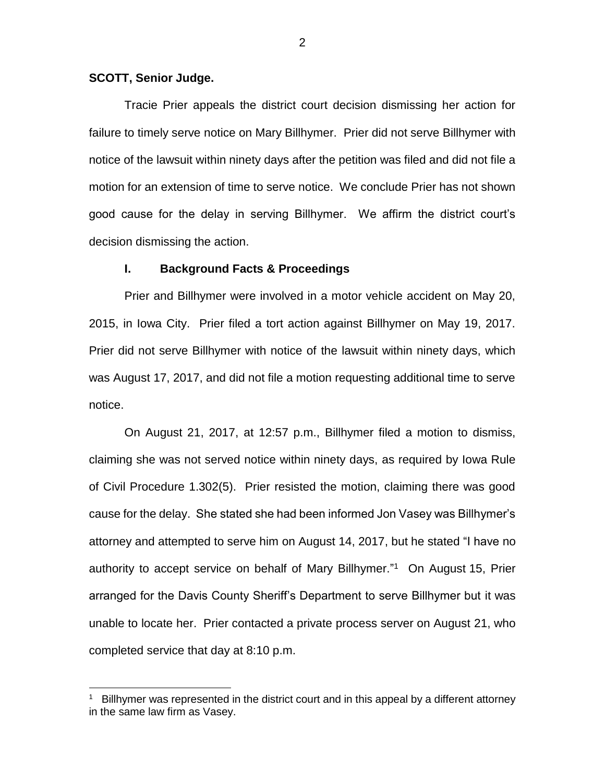#### **SCOTT, Senior Judge.**

 $\overline{a}$ 

Tracie Prier appeals the district court decision dismissing her action for failure to timely serve notice on Mary Billhymer. Prier did not serve Billhymer with notice of the lawsuit within ninety days after the petition was filed and did not file a motion for an extension of time to serve notice. We conclude Prier has not shown good cause for the delay in serving Billhymer. We affirm the district court's decision dismissing the action.

#### **I. Background Facts & Proceedings**

Prier and Billhymer were involved in a motor vehicle accident on May 20, 2015, in Iowa City. Prier filed a tort action against Billhymer on May 19, 2017. Prier did not serve Billhymer with notice of the lawsuit within ninety days, which was August 17, 2017, and did not file a motion requesting additional time to serve notice.

On August 21, 2017, at 12:57 p.m., Billhymer filed a motion to dismiss, claiming she was not served notice within ninety days, as required by Iowa Rule of Civil Procedure 1.302(5). Prier resisted the motion, claiming there was good cause for the delay. She stated she had been informed Jon Vasey was Billhymer's attorney and attempted to serve him on August 14, 2017, but he stated "I have no authority to accept service on behalf of Mary Billhymer." 1 On August 15, Prier arranged for the Davis County Sheriff's Department to serve Billhymer but it was unable to locate her. Prier contacted a private process server on August 21, who completed service that day at 8:10 p.m.

<sup>1</sup> Billhymer was represented in the district court and in this appeal by a different attorney in the same law firm as Vasey.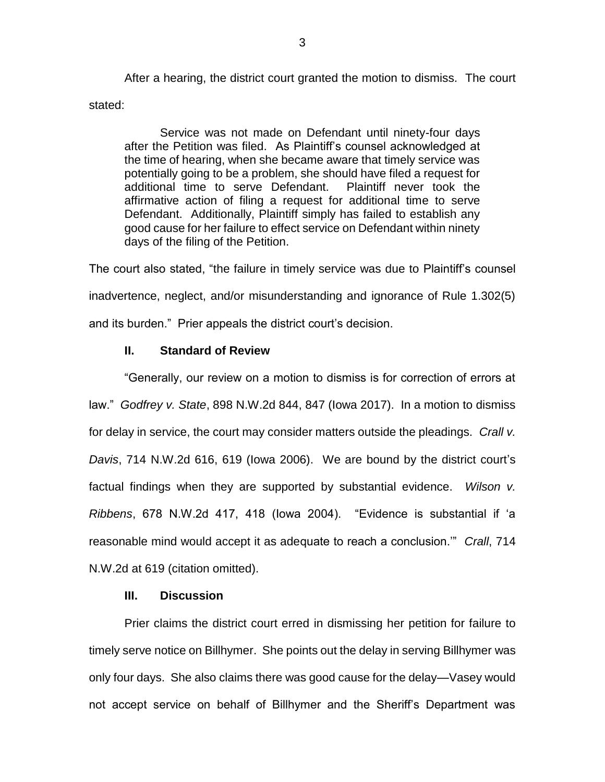After a hearing, the district court granted the motion to dismiss. The court stated:

Service was not made on Defendant until ninety-four days after the Petition was filed. As Plaintiff's counsel acknowledged at the time of hearing, when she became aware that timely service was potentially going to be a problem, she should have filed a request for additional time to serve Defendant. Plaintiff never took the affirmative action of filing a request for additional time to serve Defendant. Additionally, Plaintiff simply has failed to establish any good cause for her failure to effect service on Defendant within ninety days of the filing of the Petition.

The court also stated, "the failure in timely service was due to Plaintiff's counsel inadvertence, neglect, and/or misunderstanding and ignorance of Rule 1.302(5) and its burden." Prier appeals the district court's decision.

### **II. Standard of Review**

"Generally, our review on a motion to dismiss is for correction of errors at law." *Godfrey v. State*, 898 N.W.2d 844, 847 (Iowa 2017). In a motion to dismiss for delay in service, the court may consider matters outside the pleadings. *Crall v. Davis*, 714 N.W.2d 616, 619 (Iowa 2006). We are bound by the district court's factual findings when they are supported by substantial evidence. *Wilson v. Ribbens*, 678 N.W.2d 417, 418 (Iowa 2004). "Evidence is substantial if 'a reasonable mind would accept it as adequate to reach a conclusion.'" *Crall*, 714 N.W.2d at 619 (citation omitted).

# **III. Discussion**

Prier claims the district court erred in dismissing her petition for failure to timely serve notice on Billhymer. She points out the delay in serving Billhymer was only four days. She also claims there was good cause for the delay—Vasey would not accept service on behalf of Billhymer and the Sheriff's Department was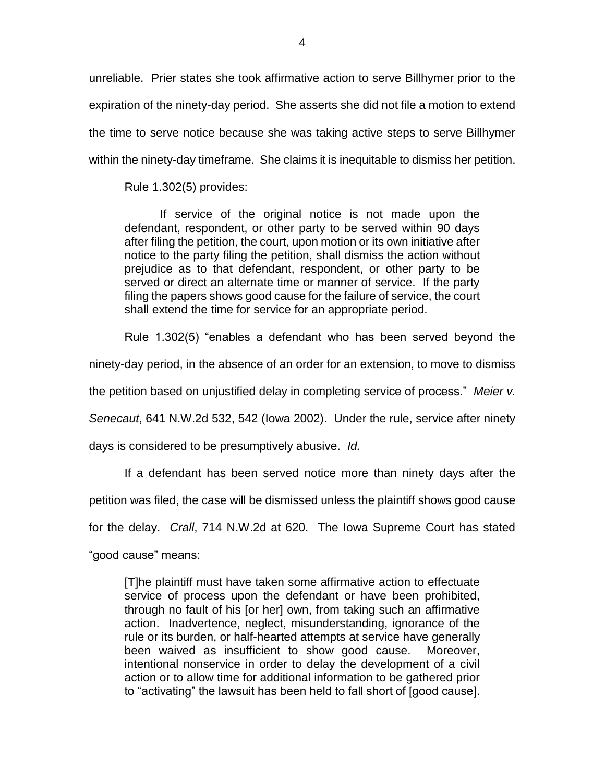unreliable. Prier states she took affirmative action to serve Billhymer prior to the expiration of the ninety-day period. She asserts she did not file a motion to extend the time to serve notice because she was taking active steps to serve Billhymer within the ninety-day timeframe. She claims it is inequitable to dismiss her petition.

Rule 1.302(5) provides:

If service of the original notice is not made upon the defendant, respondent, or other party to be served within 90 days after filing the petition, the court, upon motion or its own initiative after notice to the party filing the petition, shall dismiss the action without prejudice as to that defendant, respondent, or other party to be served or direct an alternate time or manner of service. If the party filing the papers shows good cause for the failure of service, the court shall extend the time for service for an appropriate period.

Rule 1.302(5) "enables a defendant who has been served beyond the

ninety-day period, in the absence of an order for an extension, to move to dismiss

the petition based on unjustified delay in completing service of process." *Meier v.* 

*Senecaut*, 641 N.W.2d 532, 542 (Iowa 2002). Under the rule, service after ninety

days is considered to be presumptively abusive. *Id.*

If a defendant has been served notice more than ninety days after the

petition was filed, the case will be dismissed unless the plaintiff shows good cause

for the delay. *Crall*, 714 N.W.2d at 620. The Iowa Supreme Court has stated

"good cause" means:

[T]he plaintiff must have taken some affirmative action to effectuate service of process upon the defendant or have been prohibited, through no fault of his [or her] own, from taking such an affirmative action. Inadvertence, neglect, misunderstanding, ignorance of the rule or its burden, or half-hearted attempts at service have generally been waived as insufficient to show good cause. Moreover, intentional nonservice in order to delay the development of a civil action or to allow time for additional information to be gathered prior to "activating" the lawsuit has been held to fall short of [good cause].